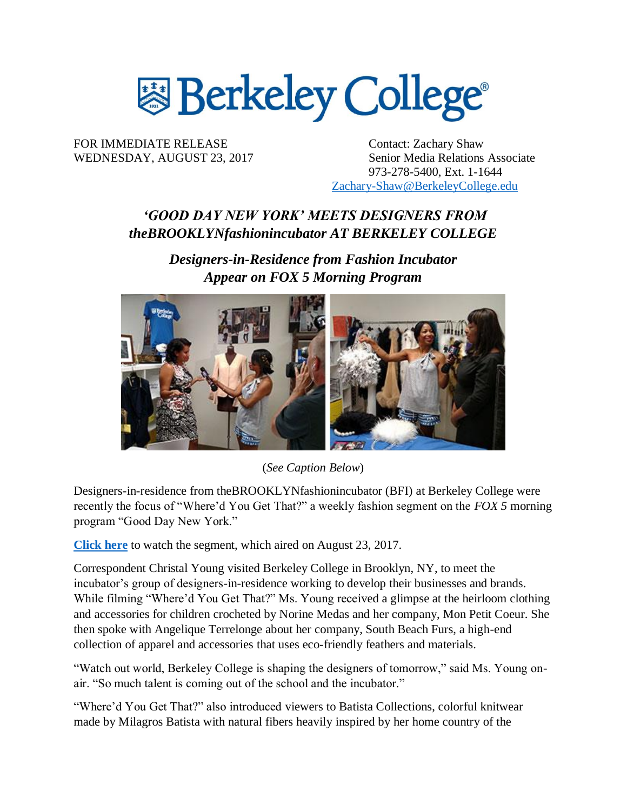

FOR IMMEDIATE RELEASE Contact: Zachary Shaw

WEDNESDAY, AUGUST 23, 2017 Senior Media Relations Associate 973-278-5400, Ext. 1-1644 [Zachary-Shaw@BerkeleyCollege.edu](mailto:Zachary-Shaw@BerkeleyCollege.edu)

# *'GOOD DAY NEW YORK' MEETS DESIGNERS FROM theBROOKLYNfashionincubator AT BERKELEY COLLEGE*

*Designers-in-Residence from Fashion Incubator Appear on FOX 5 Morning Program*



(*See Caption Below*)

Designers-in-residence from theBROOKLYNfashionincubator (BFI) at Berkeley College were recently the focus of "Where'd You Get That?" a weekly fashion segment on the *FOX 5* morning program "Good Day New York."

**[Click here](http://www.fox5ny.com/good-day/275535693-video#/)** to watch the segment, which aired on August 23, 2017.

Correspondent Christal Young visited Berkeley College in Brooklyn, NY, to meet the incubator's group of designers-in-residence working to develop their businesses and brands. While filming "Where'd You Get That?" Ms. Young received a glimpse at the heirloom clothing and accessories for children crocheted by Norine Medas and her company, Mon Petit Coeur. She then spoke with Angelique Terrelonge about her company, South Beach Furs, a high-end collection of apparel and accessories that uses eco-friendly feathers and materials.

"Watch out world, Berkeley College is shaping the designers of tomorrow," said Ms. Young onair. "So much talent is coming out of the school and the incubator."

"Where'd You Get That?" also introduced viewers to Batista Collections, colorful knitwear made by Milagros Batista with natural fibers heavily inspired by her home country of the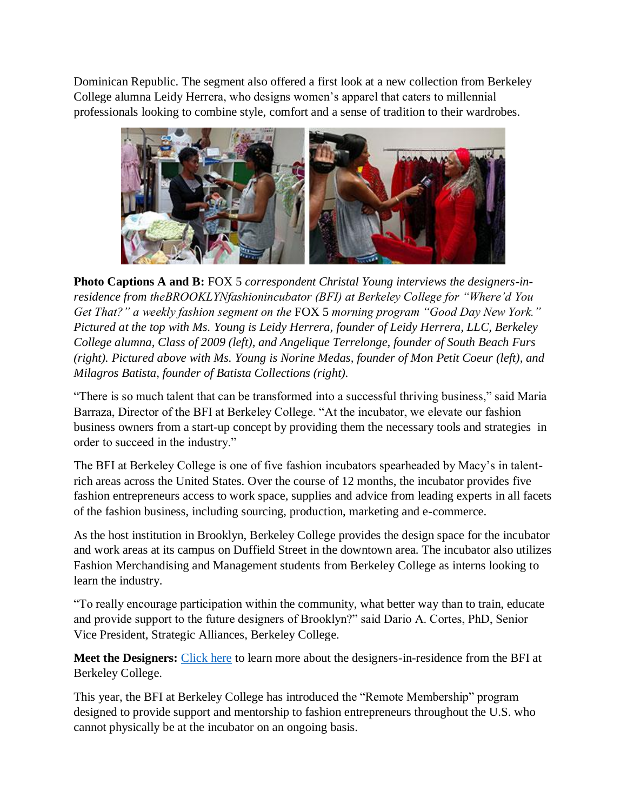Dominican Republic. The segment also offered a first look at a new collection from Berkeley College alumna Leidy Herrera, who designs women's apparel that caters to millennial professionals looking to combine style, comfort and a sense of tradition to their wardrobes.



**Photo Captions A and B:** FOX 5 *correspondent Christal Young interviews the designers-inresidence from theBROOKLYNfashionincubator (BFI) at Berkeley College for "Where'd You Get That?" a weekly fashion segment on the* FOX 5 *morning program "Good Day New York." Pictured at the top with Ms. Young is Leidy Herrera, founder of Leidy Herrera, LLC, Berkeley College alumna, Class of 2009 (left), and Angelique Terrelonge, founder of South Beach Furs (right). Pictured above with Ms. Young is Norine Medas, founder of Mon Petit Coeur (left), and Milagros Batista, founder of Batista Collections (right).*

"There is so much talent that can be transformed into a successful thriving business," said Maria Barraza, Director of the BFI at Berkeley College. "At the incubator, we elevate our fashion business owners from a start-up concept by providing them the necessary tools and strategies in order to succeed in the industry."

The BFI at Berkeley College is one of five fashion incubators spearheaded by Macy's in talentrich areas across the United States. Over the course of 12 months, the incubator provides five fashion entrepreneurs access to work space, supplies and advice from leading experts in all facets of the fashion business, including sourcing, production, marketing and e-commerce.

As the host institution in Brooklyn, Berkeley College provides the design space for the incubator and work areas at its campus on Duffield Street in the downtown area. The incubator also utilizes Fashion Merchandising and Management students from Berkeley College as interns looking to learn the industry.

"To really encourage participation within the community, what better way than to train, educate and provide support to the future designers of Brooklyn?" said Dario A. Cortes, PhD, Senior Vice President, Strategic Alliances, Berkeley College.

**Meet the Designers:** [Click here](http://newsroom.berkeleycollege.edu/news/profiles:-designers-in-residence-from-thebrooklynfashionincubator-at-berkeley-college) to learn more about the designers-in-residence from the BFI at Berkeley College.

This year, the BFI at Berkeley College has introduced the "Remote Membership" program designed to provide support and mentorship to fashion entrepreneurs throughout the U.S. who cannot physically be at the incubator on an ongoing basis.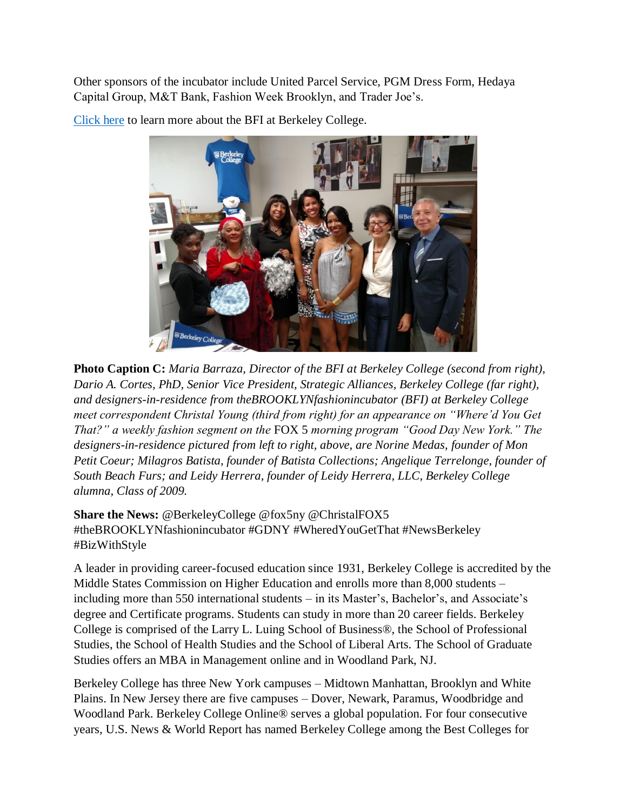Other sponsors of the incubator include United Parcel Service, PGM Dress Form, Hedaya Capital Group, M&T Bank, Fashion Week Brooklyn, and Trader Joe's.



[Click here](http://thebrooklynfashionincubator.org/) to learn more about the BFI at Berkeley College.

**Photo Caption C:** *Maria Barraza, Director of the BFI at Berkeley College (second from right), Dario A. Cortes, PhD, Senior Vice President, Strategic Alliances, Berkeley College (far right), and designers-in-residence from theBROOKLYNfashionincubator (BFI) at Berkeley College meet correspondent Christal Young (third from right) for an appearance on "Where'd You Get That?" a weekly fashion segment on the* FOX 5 *morning program "Good Day New York." The designers-in-residence pictured from left to right, above, are Norine Medas, founder of Mon Petit Coeur; Milagros Batista, founder of Batista Collections; Angelique Terrelonge, founder of South Beach Furs; and Leidy Herrera, founder of Leidy Herrera, LLC, Berkeley College alumna, Class of 2009.*

**Share the News:** @BerkeleyCollege @fox5ny @ChristalFOX5 #theBROOKLYNfashionincubator #GDNY #WheredYouGetThat #NewsBerkeley #BizWithStyle

A leader in providing career-focused education since 1931, Berkeley College is accredited by the Middle States Commission on Higher Education and enrolls more than 8,000 students – including more than 550 international students – in its Master's, Bachelor's, and Associate's degree and Certificate programs. Students can study in more than 20 career fields. Berkeley College is comprised of the Larry L. Luing School of Business®, the School of Professional Studies, the School of Health Studies and the School of Liberal Arts. The School of Graduate Studies offers an MBA in Management online and in Woodland Park, NJ.

Berkeley College has three New York campuses – Midtown Manhattan, Brooklyn and White Plains. In New Jersey there are five campuses – Dover, Newark, Paramus, Woodbridge and Woodland Park. Berkeley College Online® serves a global population. For four consecutive years, U.S. News & World Report has named Berkeley College among the Best Colleges for